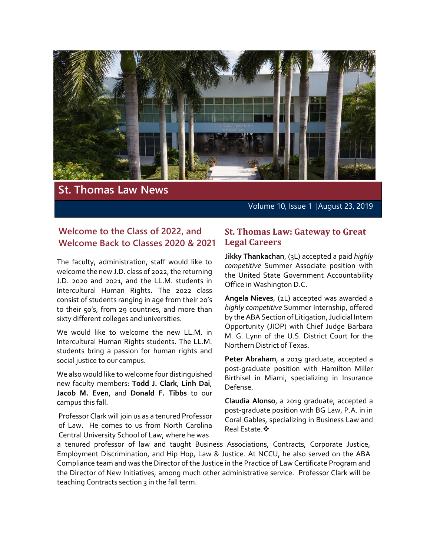

**St. Thomas Law News**

Volume 10, Issue 1 │August 23, 2019

# **Welcome to the Class of 2022, and Welcome Back to Classes 2020 & 2021**

The faculty, administration, staff would like to welcome the new J.D. class of 2022, the returning J.D. 2020 and 2021, and the LL.M. students in Intercultural Human Rights. The 2022 class consist of students ranging in age from their 20's to their 50's, from 29 countries, and more than sixty different colleges and universities.

We would like to welcome the new LL.M. in Intercultural Human Rights students. The LL.M. students bring a passion for human rights and social justice to our campus.

We also would like to welcome four distinguished new faculty members: **Todd J. Clark**, **Linh Dai**, **Jacob M. Even**, and **Donald F. Tibbs** to our campus this fall.

Professor Clark will join us as a tenured Professor of Law. He comes to us from North Carolina Central University School of Law, where he was

## **St. Thomas Law: Gateway to Great Legal Careers**

**Jikky Thankachan**, (3L) accepted a paid *highly competitive* Summer Associate position with the United State Government Accountability Office in Washington D.C.

**Angela Nieves**, (2L) accepted was awarded a *highly competitive* Summer Internship, offered by the ABA Section of Litigation, Judicial Intern Opportunity (JIOP) with Chief Judge Barbara M. G. Lynn of the U.S. District Court for the Northern District of Texas.

**Peter Abraham**, a 2019 graduate, accepted a post-graduate position with Hamilton Miller Birthisel in Miami, specializing in Insurance Defense.

**Claudia Alonso**, a 2019 graduate, accepted a post-graduate position with BG Law, P.A. in in Coral Gables, specializing in Business Law and **Real Estate. ❖** 

a tenured professor of law and taught Business Associations, Contracts, Corporate Justice, Employment Discrimination, and Hip Hop, Law & Justice. At NCCU, he also served on the ABA Compliance team and was the Director of the Justice in the Practice of Law Certificate Program and the Director of New Initiatives, among much other administrative service. Professor Clark will be teaching Contracts section 3 in the fall term.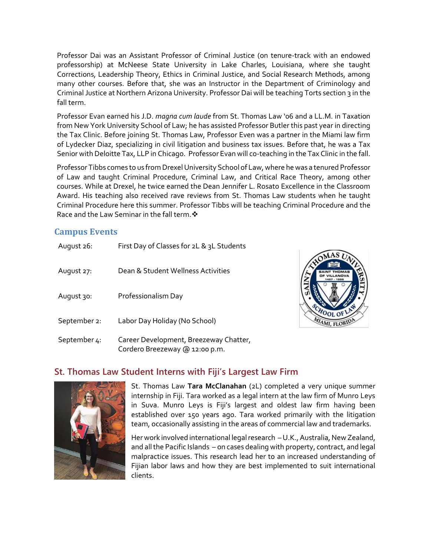Professor Dai was an Assistant Professor of Criminal Justice (on tenure-track with an endowed professorship) at McNeese State University in Lake Charles, Louisiana, where she taught Corrections, Leadership Theory, Ethics in Criminal Justice, and Social Research Methods, among many other courses. Before that, she was an Instructor in the Department of Criminology and Criminal Justice at Northern Arizona University. Professor Dai will be teaching Torts section 3 in the fall term.

Professor Evan earned his J.D. *magna cum laude* from St. Thomas Law '06 and a LL.M. in Taxation from New York University School of Law; he has assisted Professor Butler this past year in directing the Tax Clinic. Before joining St. Thomas Law, Professor Even was a partner in the Miami law firm of Lydecker Diaz, specializing in civil litigation and business tax issues. Before that, he was a Tax Senior with Deloitte Tax, LLP in Chicago. Professor Evan will co-teaching in the Tax Clinic in the fall.

Professor Tibbs comes to us from Drexel University School of Law, where he was a tenured Professor of Law and taught Criminal Procedure, Criminal Law, and Critical Race Theory, among other courses. While at Drexel, he twice earned the Dean Jennifer L. Rosato Excellence in the Classroom Award. His teaching also received rave reviews from St. Thomas Law students when he taught Criminal Procedure here this summer. Professor Tibbs will be teaching Criminal Procedure and the Race and the Law Seminar in the fall term. ❖

### **Campus Events**

| August 26:   | First Day of Classes for 2L & 3L Students                                |  |
|--------------|--------------------------------------------------------------------------|--|
| August 27:   | Dean & Student Wellness Activities                                       |  |
| August 30:   | Professionalism Day                                                      |  |
| September 2: | Labor Day Holiday (No School)                                            |  |
| September 4: | Career Development, Breezeway Chatter,<br>Cordero Breezeway @ 12:00 p.m. |  |

## **St. Thomas Law Student Interns with Fiji's Largest Law Firm**



St. Thomas Law **Tara McClanahan** (2L) completed a very unique summer internship in Fiji. Tara worked as a legal intern at the law firm of Munro Leys in Suva. Munro Leys is Fiji's largest and oldest law firm having been established over 150 years ago. Tara worked primarily with the litigation team, occasionally assisting in the areas of commercial law and trademarks.

Her work involved international legal research –U.K., Australia, New Zealand, and all the Pacific Islands – on cases dealing with property, contract, and legal malpractice issues. This research lead her to an increased understanding of Fijian labor laws and how they are best implemented to suit international clients.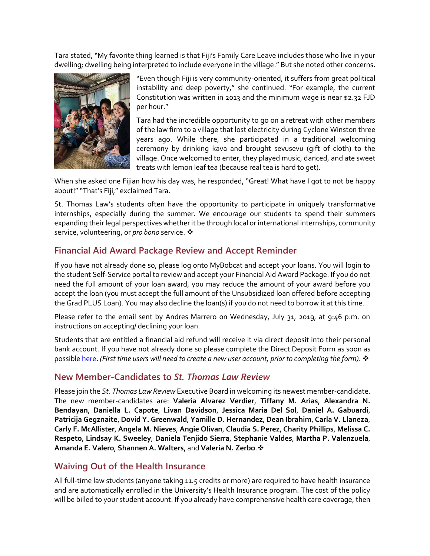Tara stated, "My favorite thing learned is that Fiji's Family Care Leave includes those who live in your dwelling; dwelling being interpreted to include everyone in the village." But she noted other concerns.



"Even though Fiji is very community-oriented, it suffers from great political instability and deep poverty," she continued. "For example, the current Constitution was written in 2013 and the minimum wage is near \$2.32 FJD per hour."

Tara had the incredible opportunity to go on a retreat with other members of the law firm to a village that lost electricity during Cyclone Winston three years ago. While there, she participated in a traditional welcoming ceremony by drinking kava and brought sevusevu (gift of cloth) to the village. Once welcomed to enter, they played music, danced, and ate sweet treats with lemon leaf tea (because real tea is hard to get).

When she asked one Fijian how his day was, he responded, "Great! What have I got to not be happy about!" "That's Fiji," exclaimed Tara.

St. Thomas Law's students often have the opportunity to participate in uniquely transformative internships, especially during the summer. We encourage our students to spend their summers expanding their legal perspectives whether it be through local or international internships, community service, volunteering, or *pro bono* service.

## **Financial Aid Award Package Review and Accept Reminder**

If you have not already done so, please log onto MyBobcat and accept your loans. You will login to the student Self-Service portal to review and accept your Financial Aid Award Package. If you do not need the full amount of your loan award, you may reduce the amount of your award before you accept the loan (you must accept the full amount of the Unsubsidized loan offered before accepting the Grad PLUS Loan). You may also decline the loan(s) if you do not need to borrow it at this time.

Please refer to the email sent by Andres Marrero on Wednesday, July 31, 2019, at 9:46 p.m. on instructions on accepting/ declining your loan.

Students that are entitled a financial aid refund will receive it via direct deposit into their personal bank account. If you have not already done so please complete the Direct Deposit Form as soon as possibl[e here.](https://dynamicforms.ngwebsolutions.com/Login.aspx?ReturnUrl=%2fSubmit%2fForm%2fStart%2f08f5e8f7-ca6a-41f2-af16-64008451b61b) (First time users will need to create a new user account, prior to completing the form). ❖

### **New Member-Candidates to** *St. Thomas Law Review*

Please join the *St. Thomas Law Review* Executive Board in welcoming its newest member-candidate. The new member-candidates are: **Valeria Alvarez Verdier**, **Tiffany M. Arias**, **Alexandra N. Bendayan**, **Daniella L. Capote**, **Livan Davidson**, **Jessica Maria Del Sol**, **Daniel A. Gabuardi**, **Patricija Gegznaite**, **Dovid Y. Greenwald**, **Yamille D. Hernandez**, **Dean Ibrahim**, **Carla V. Llaneza**, **Carly F. McAllister**, **Angela M. Nieves**, **Angie Olivan**, **Claudia S. Perez**, **Charity Phillips**, **Melissa C. Respeto**, **Lindsay K. Sweeley**, **Daniela Tenjido Sierra**, **Stephanie Valdes**, **Martha P. Valenzuela**, **Amanda E. Valero**, **Shannen A. Walters**, and **Valeria N. Zerbo**.

### **Waiving Out of the Health Insurance**

All full-time law students (anyone taking 11.5 credits or more) are required to have health insurance and are automatically enrolled in the University's Health Insurance program. The cost of the policy will be billed to your student account. If you already have comprehensive health care coverage, then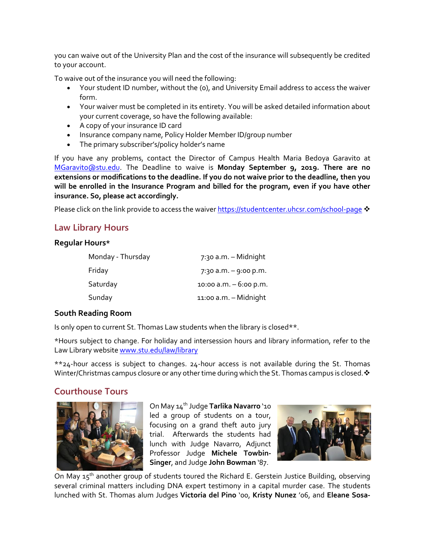you can waive out of the University Plan and the cost of the insurance will subsequently be credited to your account.

To waive out of the insurance you will need the following:

- Your student ID number, without the (0), and University Email address to access the waiver form.
- Your waiver must be completed in its entirety. You will be asked detailed information about your current coverage, so have the following available:
- A copy of your insurance ID card
- Insurance company name, Policy Holder Member ID/group number
- The primary subscriber's/policy holder's name

If you have any problems, contact the Director of Campus Health Maria Bedoya Garavito at [MGaravito@stu.edu.](mailto:MGaravito@stu.edu) The Deadline to waive is **Monday September 9, 2019. There are no extensions or modifications to the deadline. If you do not waive prior to the deadline, then you will be enrolled in the Insurance Program and billed for the program, even if you have other insurance. So, please act accordingly.** 

Please click on the link provide to access the waiver<https://studentcenter.uhcsr.com/school-page> \*

# **Law Library Hours**

#### **Regular Hours\***

| Monday - Thursday | $7:30$ a.m. - Midnight    |
|-------------------|---------------------------|
| Friday            | $7:30$ a.m. $-9:00$ p.m.  |
| Saturday          | $10:00$ a.m. $-6:00$ p.m. |
| Sunday            | 11:00 a.m. - Midnight     |

#### **South Reading Room**

Is only open to current St. Thomas Law students when the library is closed\*\*.

\*Hours subject to change. For holiday and intersession hours and library information, refer to the Law Library websit[e www.stu.edu/law/library](http://www.stu.edu/law/library)

\*\*24-hour access is subject to changes. 24-hour access is not available during the St. Thomas Winter/Christmas campus closure or any other time during which the St. Thomas campus is closed.  $\cdot\cdot\cdot$ 

### **Courthouse Tours**



On May 14th Judge **Tarlika Navarro** '10 led a group of students on a tour, focusing on a grand theft auto jury trial. Afterwards the students had lunch with Judge Navarro, Adjunct Professor Judge **Michele Towbin-Singer**, and Judge **John Bowman** '87.



On May 15<sup>th</sup> another group of students toured the Richard E. Gerstein Justice Building, observing several criminal matters including DNA expert testimony in a capital murder case. The students lunched with St. Thomas alum Judges **Victoria del Pino** '00, **Kristy Nunez** '06, and **Eleane Sosa-**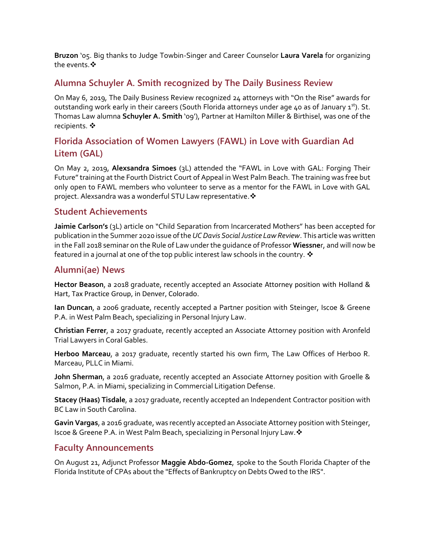**Bruzon** '05. Big thanks to Judge Towbin-Singer and Career Counselor **Laura Varela** for organizing the events. ❖

## **Alumna Schuyler A. Smith recognized by The Daily Business Review**

On May 6, 2019, The Daily Business Review recognized 24 attorneys with "On the Rise" awards for outstanding work early in their careers (South Florida attorneys under age 40 as of January  $1<sup>st</sup>$ ). St. Thomas Law alumna **Schuyler A. Smith** '09'), Partner at Hamilton Miller & Birthisel, was one of the recipients. ※

## **Florida Association of Women Lawyers (FAWL) in Love with Guardian Ad Litem (GAL)**

On May 2, 2019, **Alexsandra Simoes** (3L) attended the "FAWL in Love with GAL: Forging Their Future" training at the Fourth District Court of Appeal in West Palm Beach. The training was free but only open to FAWL members who volunteer to serve as a mentor for the FAWL in Love with GAL project. Alexsandra was a wonderful STU Law representative.

### **Student Achievements**

**Jaimie Carlson's** (3L) article on "Child Separation from Incarcerated Mothers" has been accepted for publication in the Summer 2020 issue of the *UC Davis Social Justice Law Review*. This article was written in the Fall 2018 seminar on the Rule of Law under the guidance of Professor **Wiessne**r, and will now be featured in a journal at one of the top public interest law schools in the country.  $\mathbf{\hat{*}}$ 

### **Alumni(ae) News**

**Hector Beason**, a 2018 graduate, recently accepted an Associate Attorney position with Holland & Hart, Tax Practice Group, in Denver, Colorado.

**Ian Duncan**, a 2006 graduate, recently accepted a Partner position with Steinger, Iscoe & Greene P.A. in West Palm Beach, specializing in Personal Injury Law.

**Christian Ferrer**, a 2017 graduate, recently accepted an Associate Attorney position with Aronfeld Trial Lawyers in Coral Gables.

**Herboo Marceau**, a 2017 graduate, recently started his own firm, The Law Offices of Herboo R. Marceau, PLLC in Miami.

**John Sherman**, a 2016 graduate, recently accepted an Associate Attorney position with Groelle & Salmon, P.A. in Miami, specializing in Commercial Litigation Defense.

**Stacey (Haas) Tisdale**, a 2017 graduate, recently accepted an Independent Contractor position with BC Law in South Carolina.

**Gavin Vargas**, a 2016 graduate, was recently accepted an Associate Attorney position with Steinger, Iscoe & Greene P.A. in West Palm Beach, specializing in Personal Injury Law. \*

### **Faculty Announcements**

On August 21, Adjunct Professor **Maggie Abdo-Gomez**, spoke to the South Florida Chapter of the Florida Institute of CPAs about the "Effects of Bankruptcy on Debts Owed to the IRS".